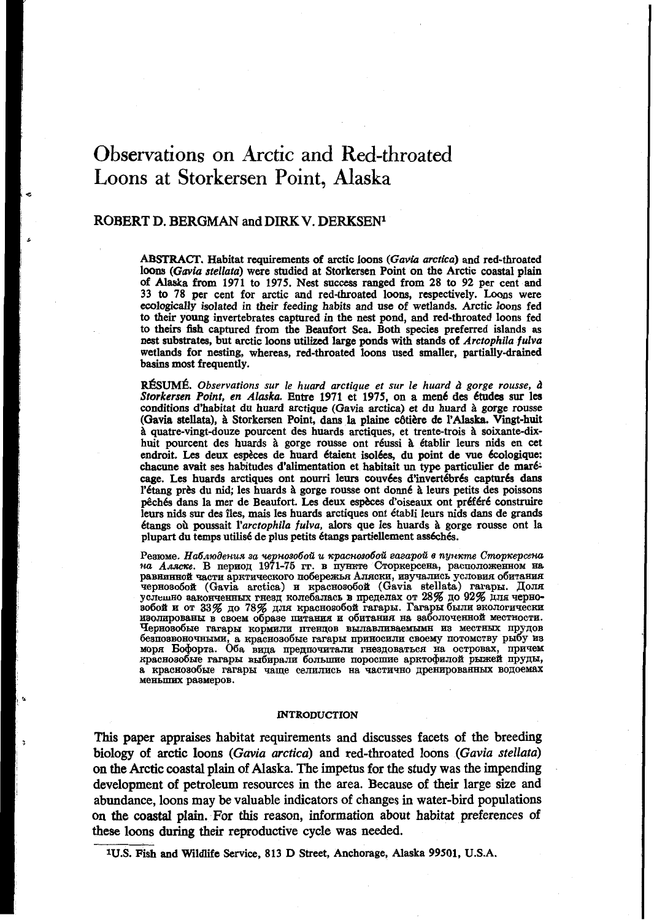# Observations on **Arctic** and Red-throated Loons at Storkersen Point, **Alaska**

# **ROBERT D. BERGMAN** and **DIRK V. DERKSENl**

*ABSTRACT.* Habitat requirements of arctic **loons (Ga@ia** *arctica)* and red-throated loons *(Guviu stellata)* were studied at Storkersen Point **on** the Arctic coastal plain of Alaska from **1971 to** *1975.* Nest success ranged from **28 to 92** per cent and **33 to 78** per cent for arctic and red-throated loons, respectively. Loons were ecologically isolated in their feeding habits and use of wetlands. Arctic loons fed to their young invertebrates captured in the nest pond, and red-throated **loons** fed to theirs fish captured from the Beaufort Sea. Both species preferred islands **as**  nest substrates, but arctic loons utilized large **ponds** with stands of *Arctophila fulva*  wetlands for nesting, whereas, red-throated loons used smaller, partially-draine basins **most** frequently.

**RÉSUMÉ.** Observations sur le huard arctique et sur le huard à gorge rousse, à *Srorkersen Point, en Alaska.* Entre **1971** et **1975, on** a men6 des Ctudea *sur* lea conditions d'habitat du huard arctique (Gavia wctica) et du huard à gorge rousse (Gavia stellata), à Storkersen Point, dans la plaine côtière de l'Alaska. Vingt-huit *B* quatre-vingt-douze pourcent des huards arctiques, et trente-trois *B* soixante-dixhuit pourcent des huards à gorge rousse ont réussi à établir leurs nids en cet endroit. Les deux espèces de huard étaient isolées, du point de vue écologique: chacune avait ses habitudes d'alimentation et habitait un type particulier de mar& cage. Les huards arctiques ont nourri leurs couvées d'invertébrés capturés dans l'étang près du nid; les huards à gorge rousse ont donné à leurs petits des poissons peche dans la mer de Beaufort. Les deux espèces d'invertiebrés capturés dans la mer de Beaufort. Les deux espèces d'oiseaux ont préféré construire peuts dans la mer de Beaufort. Les deux espèces d'oiseaux ont préféré const leurs nids sur des **îles,** mais les huards arctiques ont établi leurs nids dans de grands 6tangs **oh** poussait *l'arctophila fulva,* alors que les huards *B* gorge rousse ont la plupart du temps utilisé de plus petits étangs partiellement asséchés.

**PesmMe.** *Ha6amaenus 30 w nmobod u xpacumobdi eazapdi* **e** *nynxme Cmop~epcelta*   $\mu$ а *Аляске*. В период 1971-75 гг. в пункте Сторкерсена, расположенном на обитания чернозобой (Gavia arctica) и краснозобой (Gavia stellata) гагары. Доля<br>услешно законченных гнезд колебалась в пределах от 28% до 92% для черно-<br>зобой и от 33% до 78% для краснозобой гагары. Гагары были экологически **H8OJIEpOBaHbI B CBWM o6pase IIHTaHHR E O~HT~HHR HaS&JIO¶eH€IOB MeCTHOCTE.**  Чернозобые гагары кормили птенцов вылавливаемымн из местных прудов безпозвоночными, а краснозобые гагары приносили своему потомству рыбу из<br>моря Бофорта. Оба вида предпочитали гнездоваться на островах, причем<br>краснозобые гагары выбирали большие поросшие арктофилой рыжей пруды, **MeHblIIHx pa8MepOB. а краснозобые гагары чаще селились на частично дренированных водоемах** 

#### **INTRODUCTION**

**This** paper appraises habitat requirements and discusses facets of the breeding biology of arctic loons *(Gavia arctica)* and red-throated loons *(Gavia stellata)*  **on** the Arctic coastal plain of Alaska. The impetus for the study was the impending development of petroleum resources in the area. Because of their large size and abundance, loons may be valuable indicators **of** changes in water-bird populations **on** the coastal plain. For this reason, information about habitat preferences of these loons during their reproductive cycle was needed.

**1U.S.** Fish and Wildlife **Service, 813** D Street, Anchorage, Alaska **99501, U.S.A.**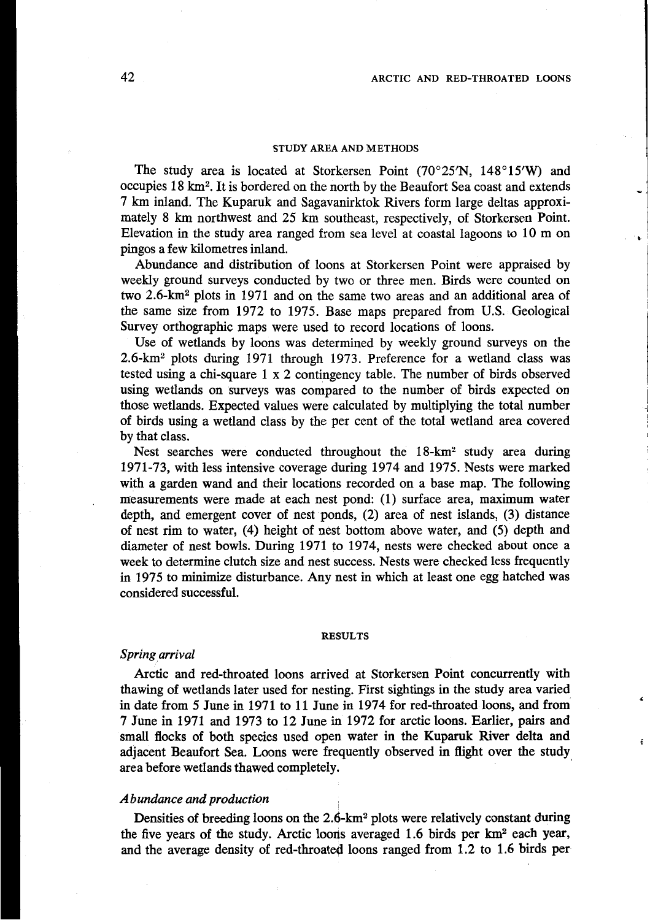#### **STUDY AREA AND METHODS**

The study area is located at Storkersen Point  $(70^{\circ}25'N, 148^{\circ}15'W)$  and occupies 18 **km2.** It is bordered on the north by the Beaufort Sea coast and extends " 7 km inland. The Kuparuk and Sagavanirktok Rivers form large deltas approximately 8 km northwest and 25 km southeast, respectively, of Storkersen Point. Elevation in the study area ranged from sea level at coastal lagoons to  $10 \text{ m}$  on pingos a few kilometres inland.

Abundance and distribution of loons at Storkersen Point were appraised by weekly ground surveys conducted by two or three men. Birds were counted on two 2.6-km<sup>2</sup> plots in 1971 and on the same two areas and an additional area of the same size from 1972 to 1975. Base maps prepared from U.S. Geological Survey orthographic maps were used to record locations of loons.

Use of wetlands by loons was determined by weekly ground surveys on the 2.6-km2 plots during 1971 through 1973. Preference for a wetland class was tested using a chi-square 1 x 2 contingency table. The number of birds observed using wetlands on surveys was compared to the number of birds expected on those wetlands. Expected values were calculated by multiplying the total number of birds using a wetland class by the per cent of the total wetland area covered by that class.

Nest searches were conducted throughout he 18-km2 study area during 1971-73, with less intensive coverage during 1974 and 1975. Nests were marked with a garden wand and their locations recorded on a base map. The following measurements were made at each nest pond: (1) surface area, maximum water depth, and emergent cover of nest ponds, **(2)** area of nest islands, **(3)** distance of nest rim to water, (4) height of nest bottom above water, and (5) depth and diameter of nest bowls. During 1971 to 1974, nests were checked about once a week to determine clutch size and nest success. Nests were checked less frequently in 1975 to minimize disturbance. Any nest in which at least one egg hatched was considered successful.

#### **RESULTS**

## *Spring arrival*

Arctic and red-throated loons arrived at Storkersen Point concurrently with thawing of wetlands later used for nesting. First sightings in the study area varied in date from 5 June in 1971 to 11 June in 1974 for red-throated loons, and from 7 June in 1971 and 1973 to 12 June in 1972 for arctic loons. Earlier, **pairs** and small flocks of both species used open water in the Kuparuk River delta and adjacent Beaufort Sea. Loons were frequently observed in flight over the study area before wetlands thawed completely.

## *Abundance and production*

Densities of breeding loons on the 2.6-km<sup>2</sup> plots were relatively constant during the five years of the study. Arctic looris averaged 1.6 birds per **km2** each year, and the average density of red-throated loons ranged from 1.2 to 1.6 birds per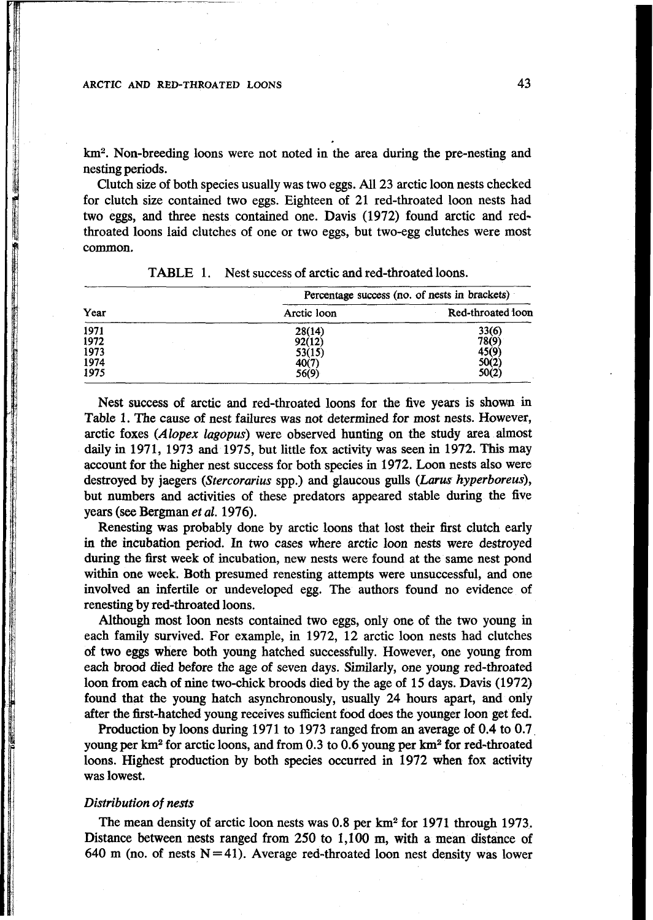**km2.** Non-breeding loons were not noted in the area during the pre-nesting and nesting periods.

Clutch size of both species usually was two eggs. All **23** arctic loon nests checked for clutch size contained two eggs. Eighteen of **21** red-throated loon nests had two eggs, and three nests contained one. Davis **(1972)** found arctic and redthroated loons laid clutches of one or two eggs, but two-egg clutches were most common.

|      |             | Percentage success (no. of nests in brackets) |  |
|------|-------------|-----------------------------------------------|--|
| Year | Arctic loon | Red-throated loon                             |  |
| 1971 | 28(14)      | 33(6)                                         |  |
| 1972 | 92(12)      | 78(9)                                         |  |
| 1973 | 53(15)      | 45(9)                                         |  |
| 1974 | 40(7)       | 50(2)                                         |  |
| 1975 | 56(9)       | 50(2)                                         |  |

**TABLE 1.** Nest success of arctic and red-throated loons.

Nest success of arctic and red-throated loons for the five years is shown in Table 1. The cause of nest failures was not determined for most nests. However, arctic foxes *(Alopex lagopus)* were observed hunting on the study area almost daily in **1971, 1973** and **1975,** but little fox activity was seen in **1972. This** may account for the higher nest success for both species **in 1972.** Loon nests also were destroyed by jaegers *(Stercorarius* spp.) and glaucous **gulls (Larats** *hyperboreus),*  but numbers and activities of these predators appeared stable during the five years (see Bergman *et al.* 1976).

Renesting was probably done by arctic loons that lost their first clutch early in the incubation period. In two cases where arctic loon nests were destroyed during the first week of incubation, new nests were found at the same nest pond within one week. Both presumed renesting attempts were unsuccessful, and one involved **an** infertile or undeveloped egg. The authors found no evidence of renesting by red-throated loons.

Although most loon nests contained two eggs, **only** one of the two young in each family survived. For example, in **1972, 12** arctic loon nests had clutches of two eggs where both young hatched successfully. However, one young from each brood **died** before the age of seven days. Similarly, one young red-throated loon from each of nine two-chick broods died by the age of**15** days. Davis **(1972)**  found that the young hatch asynchronously, usually **24** hours apart, and only after the first-hatched young receives sufficient food does the younger **loon** get fed.

Production by loons during **1971** to **1973** ranged from an average of **0.4** to **0.7,**  young per **km2** for arctic loons, and from **0.3** to **0.6** young per **km2** for red-throated loons. Highest production by both species occurred in **1972** when fox activity was lowest.

## *Distribution* **of** *nests*

The mean density of arctic loon nests was 0.8 per **km2** for **1971** through **1973.**  Distance between nests ranged from **250 to 1,100 m, with** a mean distance of  $640$  m (no. of nests  $N = 41$ ). Average red-throated loon nest density was lower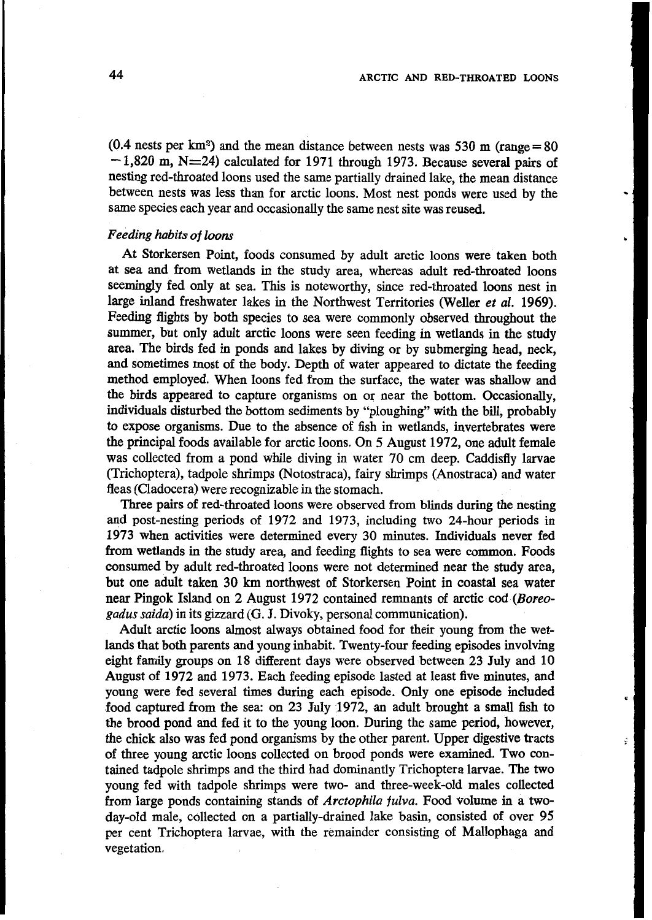**(0.4** nests per **km2)** and the mean distance between nests was **530** m (range = **80**   $-1.820$  m,  $N=24$ ) calculated for 1971 through 1973. Because several pairs of nesting red-throated loons used the same partially drained lake, the mean distance between nests was less than for arctic loons. Most nest ponds were used by the same species each year and occasionally the same nest site was reused.

# *Feeding habits* **of** *loons*

At Storkersen Point, foods consumed by adult arctic loons were taken both at sea and from wetlands in the study area, whereas adult red-throated loons seemingly fed only at sea. This is noteworthy, since red-throated loons nest in large inland freshwater lakes in the Northwest Territories (Weller *et ul.* **1969).**  Feeding flights by both species to sea were commonly observed throughout the summer, but only adult arctic loons were seen feeding in wetlands in the study area. The birds fed in ponds and lakes by diving or by submerging head, neck, and sometimes most of the body. Depth of water appeared to dictate the feeding method employed. When loons fed from the surface, the water was shallow and the birds appeared to capture organisms on or near the bottom. Occasionally, individuals disturbed the bottom sediments by "ploughing" with the **bill,** probably to expose organisms. Due to the absence of fish in wetlands, invertebrates were the principal foods available for arctic loons. On *5* August **1972,** one adult female was collected from a pond while diving in water **70** cm deep. Caddisfly larvae (Trichoptera), tadpole shrimps (Notostraca), fairy shrimps (Anostraca) and water fleas (Cladocera) were recognizable in the stomach.

Three pairs of red-throated loons were observed from **blinds** during the nesting and post-nesting periods of **1972** and **1973,** including two 24-hour periods in **1973** when activities were determined every **30** minutes. Individuals never fed from wetlands in the study area, and feeding flights to sea were common. Foods consumed by adult red-throated loons were not determined near the study area, but one adult taken 30 km northwest of Storkersen Point in coastal sea water near Pingok Island on **2** August **1972** contained remnants of arctic cod *(Boreogadus suidu)* in its gizzard *(G.* J. Divoky, personal communication).

Adult arctic loons almost always obtained food for their young from the wetlands that both parents and young inhabit. Twenty-four feeding episodes involving eight family groups on 18 different days were observed between 23 July and 10 August of **1972** and **1973.** Each feeding episode lasted at least five minutes, and young were fed several times during each episode. Only one episode included food captured from the sea: on **23** July **1972, an** adult brought a small fish to the brood pond and fed it to the young loon. During the same period, however, the chick also was fed pond organisms by the other parent. Upper digestive tracts of three young arctic loons collected on brood ponds were examined. Two contained tadpole shrimps and the third had dominantly Trichoptera larvae. The two young fed with tadpole shrimps were two- and three-week-old males collected from large ponds containing stands of *Arctophila fulva*. Food volume in a twoday-old male, collected on a partially-drained lake basin, consisted of over **95**  per cent Trichoptera larvae, with the remainder consisting of Mallophaga and vegetation.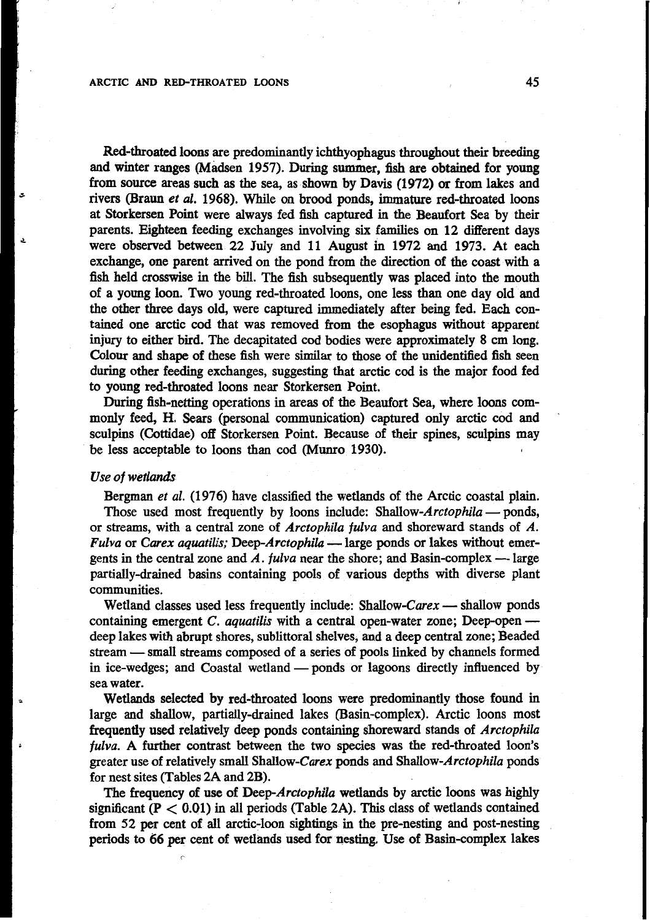Red-throated **loons** are predominantly ichthyophagus throughout their breeding and winter ranges (Madsen **1957).** During summer, fish are obtained for young from **source** areas such **as** the sea, as shown by Davis **(1972)** *or* **from** lakes and rivers (Braun et *al.* **1968).** While on brood ponds, immature red-throated loons at Storkersen Point were always fed **fish** captured in the Beaufort Sea by their parents. Eighteen feeding exchanges involving six families *on* **12** different days were observed between **22** July and **1 1** August in **1972** and **1973.** At each exchange, one parent arrived on the pond from the direction of the coast with a fish held crosswise in the bill. The fish subsequently was placed into the mouth of a young loon. Two young red-throated loons, one less than one day old and the **other** three days old, were captured immediately after being fed. Each contained one arctic cod that was removed from the esophagus without apparent injury to either bird. The decapitated cod bodies were approximately **8** cm long. Colour and shape of these fish were similar to those of the unidentified fish seen during other feeding exchanges, suggesting that arctic cod is the major food fed to young red-throated loons near Storkersen Point.

During fish-netting operations in areas of the Beaufort Sea, where loons commonly feed, H. Sears (personal communication) captured only arctic cod and sculpins (Cottidae) **off** Storkersen Point. Because of their spines, sculpins may be less acceptable to loons than cod **(Munro 1930).** 

# Use *of* wetlands

Bergman *et al.* **(1976)** have classified the wetlands **of** the Arctic coastal plain. Those used most frequently by loons include: Shallow-Arctophila - ponds, or streams, with a central zone of Arctophila **fulva** and shoreward stands of *A.*  Those used most frequently by loons include: Shallow-Arctophila — ponds,<br>pr streams, with a central zone of Arctophila fulva and shoreward stands of A.<br>Fulva or *Carex aquatilis;* Deep-Arctophila — large ponds or lakes wit Fulva or Carex aquatilis; Deep-Arctophila - large ponds or lakes without emergents in the central zone and  $\vec{A}$ . *fulva* near the shore; and Basin-complex - large partially-drained basins containing pools **of** various depths with diverse plant communities.

Wetland classes used less frequently include: Shallow-Carex  $-$  shallow ponds containing emergent  $C$ . *aquatilis* with a central open-water zone; Deep-open -deep lakes with abrupt shores, sublittoral shelves, and a deep central zone; Beaded stream - small streams composed of a series of pools linked by channels formed in ice-wedges; and Coastal wetland  $-$  ponds or lagoons directly influenced by sea water.

Wetlands selected by red-throated loons were predominantly those found in large and shallow, partially-drained lakes (Basin-complex). Arctic loons most frequently **used** relatively deep ponds containing shoreward stands of Arctophila *fulva.* A further contrast between the two species was the red-throated loon's greater use of relatively small Shallow-Carex ponds and Shallow-Arctophila ponds for nest sites (Tables 2A and 2B).

The frequency *of* use of Deep-Arctophila wetlands by arctic loons was highly significant (P < **0.01)** in all periods (Table 2A). **This** class of wetlands contained from 52 per cent of all arctic-loon sightings in the pre-nesting and post-nesting periods to **66** per cent of wetlands used for nesting. Use of Basin-complex lakes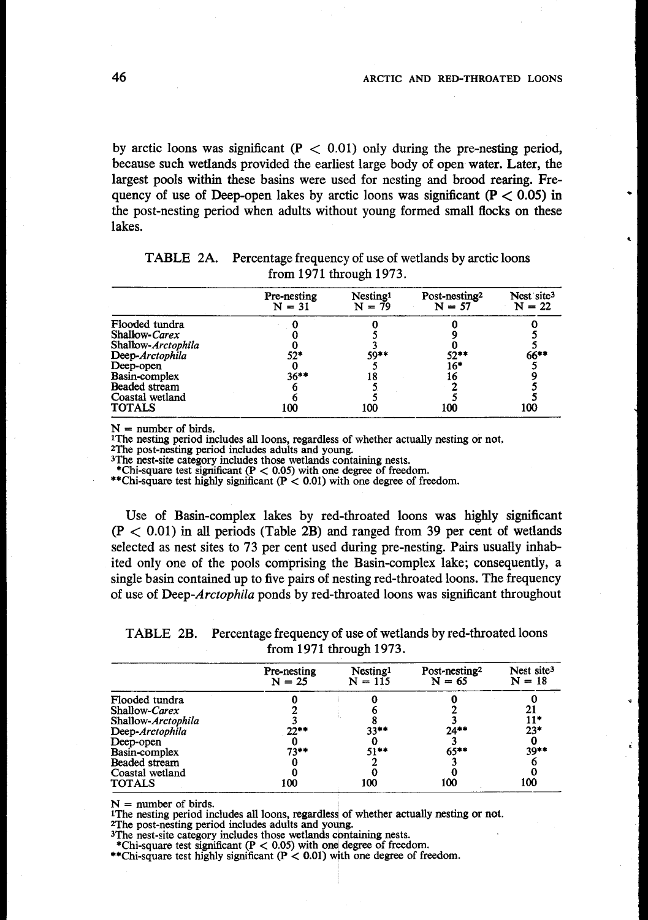by arctic loons was significant  $(P < 0.01)$  only during the pre-nesting period, because such wetlands provided the earliest large body of open **water.** Later, the largest pools within these basins were used for nesting and brood rearing. Frequency of use of Deep-open lakes by arctic loons was significant ( $P < 0.05$ ) in the post-nesting period when adults without young formed small flocks on these lakes.

|                    | Pre-nesting<br>$N = 31$ | Nesting <sup>1</sup><br>$N = 79$ | Post-nesting <sup>2</sup><br>$N = 57$ | Nest site <sup>3</sup><br>$N = 22$ |
|--------------------|-------------------------|----------------------------------|---------------------------------------|------------------------------------|
| Flooded tundra     |                         |                                  |                                       |                                    |
| Shallow-Carex      |                         |                                  |                                       |                                    |
| Shallow-Arctophila |                         |                                  |                                       |                                    |
| Deep-Arctophila    | 52*                     | 59**                             | $52***$                               | $66***$                            |
| Deep-open          |                         |                                  | $16*$                                 |                                    |
| Basin-complex      | $36***$                 |                                  | 16                                    |                                    |
| Beaded stream      |                         |                                  |                                       |                                    |
| Coastal wetland    |                         |                                  |                                       |                                    |
| <b>TOTALS</b>      | 100                     | 100                              | 100                                   | 100                                |

TABLE 2A. Percentage frequency of use of wetlands by arctic loons from 1971 through 1973.

N = number **of** birds.

1The nesting period includes **all** loons, regardless of whether actually nesting or not.

ZThe post-nesting period includes adults and young. 3The nest-site category includes those wetlands containing nests.

\*\*Chi-square test highly significant (P < **0.01)** with one degree of freedom. \*Chi-square test significant (P < *0.05)* with one degree of freedom.

Use of Basin-complex lakes by red-throated loons was highly significant  $(P < 0.01)$  in all periods (Table 2B) and ranged from 39 per cent of wetlands selected as nest sites to 73 per cent used during pre-nesting. Pairs usually inhabited only one of the pools comprising the Basin-complex lake; consequently, a single basin contained up to five pairs of nesting red-throated loons. The frequency of use of Deep-Arctophila ponds by red-throated loons was significant throughout

TABLE 2B. Percentage frequency of use of wetlands by red-throated loons from 1971 through 1973.

|                    | TABLE 2B. Percentage frequency of use of wetlands by red-throated loons | from 1971 through 1973.           |                                       |                                    |
|--------------------|-------------------------------------------------------------------------|-----------------------------------|---------------------------------------|------------------------------------|
|                    | Pre-nesting<br>$N = 25$                                                 | Nesting <sup>1</sup><br>$N = 115$ | Post-nesting <sup>2</sup><br>$N = 65$ | Nest site <sup>3</sup><br>$N = 18$ |
| Flooded tundra     |                                                                         |                                   |                                       |                                    |
| Shallow-Carex      |                                                                         |                                   |                                       |                                    |
| Shallow-Arctophila |                                                                         |                                   |                                       | 11*                                |
| Deep-Arctophila    | 22**                                                                    | $33***$                           | $24***$                               | $23*$                              |
| Deep-open          |                                                                         |                                   |                                       |                                    |
| Basin-complex      | $73**$                                                                  | $51**$                            | $65***$                               | $39**$                             |
| Beaded stream      |                                                                         |                                   |                                       |                                    |
| Coastal wetland    |                                                                         |                                   |                                       |                                    |
| <b>TOTALS</b>      | 100                                                                     | 100                               | 100                                   | 100                                |

 $N =$  number of birds.

1The nesting period includes all loons, regardless of whether actually nesting or not.<br><sup>2</sup>The post-nesting period includes adults and young.

<sup>2</sup>The post-nesting period includes adults and young. <sup>3</sup>The nest-site category includes those wetlands conta

\*Chi-square test significant  $(P < 0.05)$  w<br>\*\*Chi-square test highly significant  $(P < 0.05)$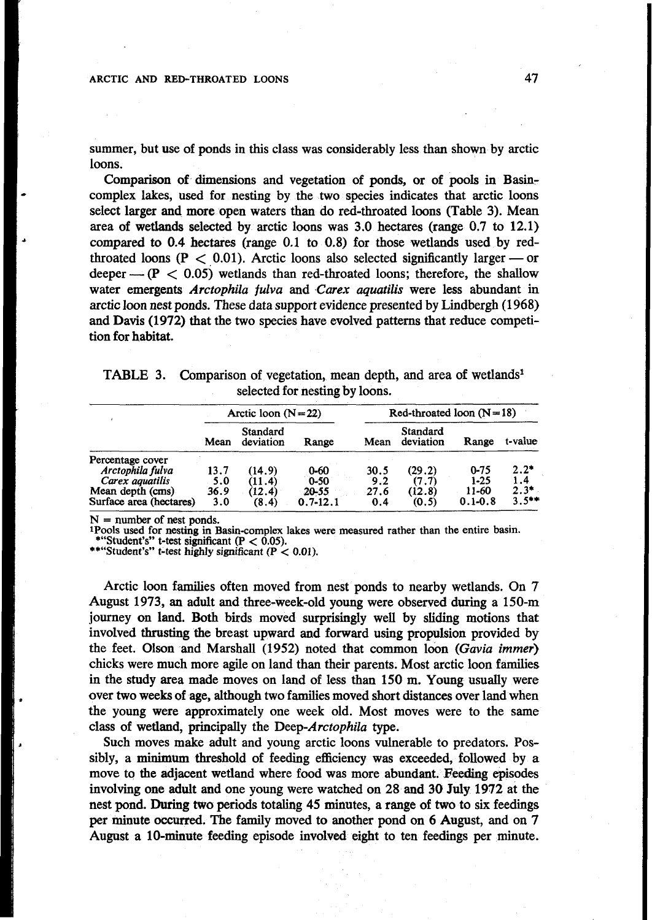summer, but use of ponds in this class was considerably less than shown by arctic loons.

Comparison **of.** dimensions and vegetation **of** ponds, or of **pools** in Basincomplex lakes, used for nesting by the two species indicates that arctic loons select larger and more open waters than do red-throated loons (Table **3).** Mean area of wetlands selected by arctic loons was **3.0** hectares (range 0.7 to 12.1) compared to **0.4** hectares (range 0.1 to 0.8) for those wetlands used by redarea of wetlands selected by arctic loons was 3.0 hectares (range 0.7 to 12.1)<br>compared to 0.4 hectares (range 0.1 to 0.8) for those wetlands used by red-<br>throated loons (P < 0.01). Arctic loons also selected significantl throated loons ( $P < 0.01$ ). Arctic loons also selected significantly larger — or deeper —  $(P < 0.05)$  wetlands than red-throated loons; therefore, the shallow water emergents Arctophila *fulva* and *Carex* aquatilis were less abundant in arctic **loon** nest ponds. These data support evidence presented by Lindbergh (1 968) and Davis (1972) that the two species have evolved patterns that reduce competi**tion** for habitat.

| TABLE 3. Comparison of vegetation, mean depth, and area of wetlands <sup>1</sup> |
|----------------------------------------------------------------------------------|
| selected for nesting by loons.                                                   |

|                         | Arctic loon $(N=22)$ |                       |              | Red-throated loon $(N=18)$ |                       |             |          |
|-------------------------|----------------------|-----------------------|--------------|----------------------------|-----------------------|-------------|----------|
|                         | Mean                 | Standard<br>deviation | Range        | Mean                       | Standard<br>deviation | Range       | t-value  |
| Percentage cover        |                      |                       |              |                            |                       |             |          |
| Arctophila fulva        | 13.7                 | (14.9                 | $0 - 60$     | 30.5                       | (29.2)                | $0 - 75$    | $2.2*$   |
| Carex aguatilis         | 5.0                  | (11.4)                | $0 - 50$     | 9.2                        | (7.7)                 | $1 - 25$    | 1.4      |
| Mean depth (cms)        | 36.9                 | (12.4)                | 20-55        | 27.6                       | (12.8)                | 11-60       | $2.3*$   |
| Surface area (hectares) | 3.0                  | (8.4)                 | $0.7 - 12.1$ | 0.4                        | (0.5)                 | $0.1 - 0.8$ | $3.5***$ |

**<sup>N</sup>**<sup>=</sup>**number of nest ponds. 1Pools used for nesting in Basin-complex lakes were measured rather than the entire basin. \*\*** "Student's" *t-test significant*  $(P < 0.05)$ .<br>**\*\*** "Student's" *t-test highly significant*  $(P < 0.01)$ .

Arctic loon families often moved from nest ponds to nearby wetlands. On **7**  August 1973, an adult and three-week-old young were observed during a 150-m journey on land. Both birds moved surprisingly well by sliding motions that involved *thrusting* the breast upward and forward using propulsion provided by the feet. Olson and Marshall (1952) noted that common loon (Gavia immer) chicks were much more agile **on** land than their parents. Most arctic loon families in the study area made moves on land of less than 150 m. Young usually were over two weeks **of** age, although two families moved short distances over land when the young were approximately one week old. Most moves were **to** the same class of wetland, principally the Deep-Arctophila type.

Such moves make adult and young arctic loons vulnerable to predators. **Pos**sibly, a minimum threshold of feeding efficiency was exceeded, followed by *a*  move to the adjacent wetland where food was more abundant. Feeding episodes involving one adult and one young were watched on 28 and **30** July 1972 at the nest pond. **During** *two* periods totaling **45** minutes, a range of two to six feedings per minute **occurred.** The **family** moved to another pond on *6* August, and on **7**  August a 10-minute feeding episode involved eight to ten feedings per minute.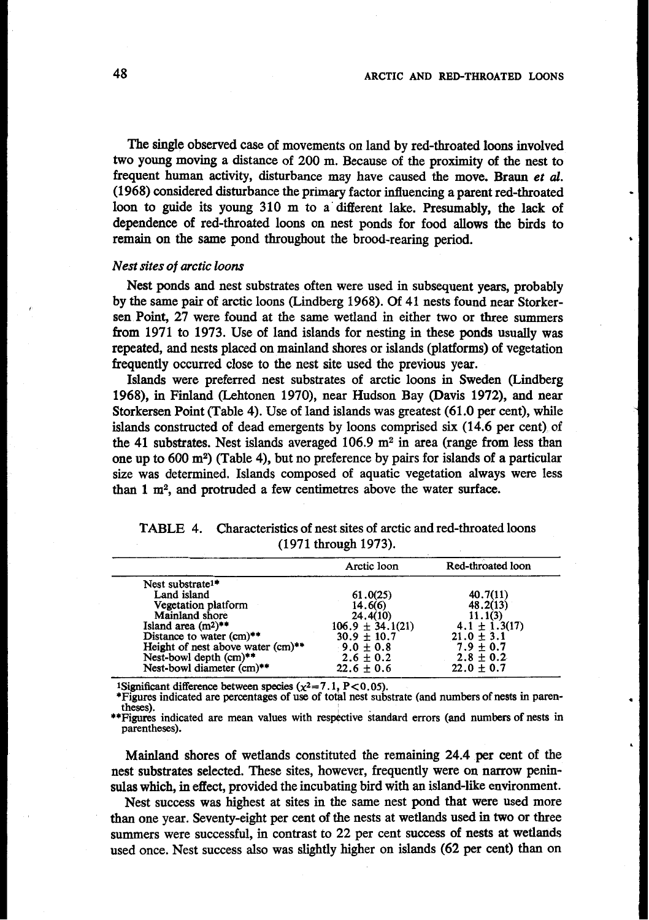The single observed case of movements **on** land by red-throated loons involved two young moving a distance of **200** m. Because **of** the proximity of the nest to frequent human activity, disturbance may have caused the move. Braun *et d.*  **(1 968)** considered disturbance the primary factor influencing a parent red-throated loon to guide its young **3 10** m to a' different lake. Presumably, the lack of dependence **of** red-throated loons **on** nest ponds for food **allows** the birds to remain **on** the same pond throughout the brood-rearing period.

#### *Nest sites of arctic loons*

Nest ponds and nest substrates often were used in subsequent years, probably by the same pair of arctic loons (Lindberg **1968).** Of **41** nests found near Storkersen Point, **27** were found at the same wetland in either two or three summers from **1971** to **1973.** Use of land islands for nesting in these ponds usually was repeated, and nests placed **on** mainland shores or islands (platforms) of vegetation frequently occurred close to the nest site used the previous year.

Islands were preferred nest substrates of arctic loons in Sweden (Lindberg **1968), in** Finland (Lehtonen **1970),** near Hudson Bay (Davis **1972),** and near Storkersen Point (Table **4).** Use **of** land islands was greatest **(61.0** per cent), while islands constructed of dead emergents by loons comprised **six (14.6** per cent) of the **41** substrates. Nest islands averaged **106.9** m2 in area (range from less than one up to **600** m2) (Table **4),** but **no** preference by pairs for islands **of** a particular size was determined. Islands composed of aquatic vegetation always were less than **1** m2, and protruded a few centimetres above the water surface.

|                      | TABLE 4. Characteristics of nest sites of arctic and red-throated loons |  |  |  |  |  |
|----------------------|-------------------------------------------------------------------------|--|--|--|--|--|
| (1971 through 1973). |                                                                         |  |  |  |  |  |

|                                   | Arctic loon          | Red-throated loon |
|-----------------------------------|----------------------|-------------------|
| Nest substrate <sup>1*</sup>      |                      |                   |
| Land island                       | 61.0(25)             | 40.7(11)          |
| Vegetation platform               | 14.6(6)              | 48,2(13)          |
| Mainland shore                    | 24,4(10)             | 11.1(3)           |
| Island area $(m^2)^{**}$          | $106.9 \pm 34.1(21)$ | $4.1 \pm 1.3(17)$ |
| Distance to water (cm)**          | $30.9 \pm 10.7$      | $21.0 \pm 3.1$    |
| Height of nest above water (cm)** | $9.0 \pm 0.8$        | $7.9 \pm 0.7$     |
| Nest-bowl depth (cm)**            | $2.6 \pm 0.2$        | $2.8 \pm 0.2$     |
| Nest-bowl diameter (cm)**         | $22.6 \pm 0.6$       | $22.0 \pm 0.7$    |

**1Significant difference between species**  $(\chi^2 = 7.1, P < 0.05)$ **.** 

**\*Figures indicated are percentages of use of total nest substrate (and numbers of nests in parentheses).** 

\*Figures indicated are mean values with respective standard errors (and numbers of nests in **parentheses).** 

Mainland shores of wetlands constituted the remaining **24.4** per cent of the nest substrates selected. These sites, however, frequently were **on** narrow peninsulas which, in effect, provided the incubating bird with an island-like environment.

Nest success was highest at sites in the same nest pond that were used more than one year. Seventy-eight per cent of the nests at wetlands used in two or three summers were successful, in contrast to **22** per cent success **of** nests at wetlands used once. Nest success also was slightly higher on islands **(62** per cent) than on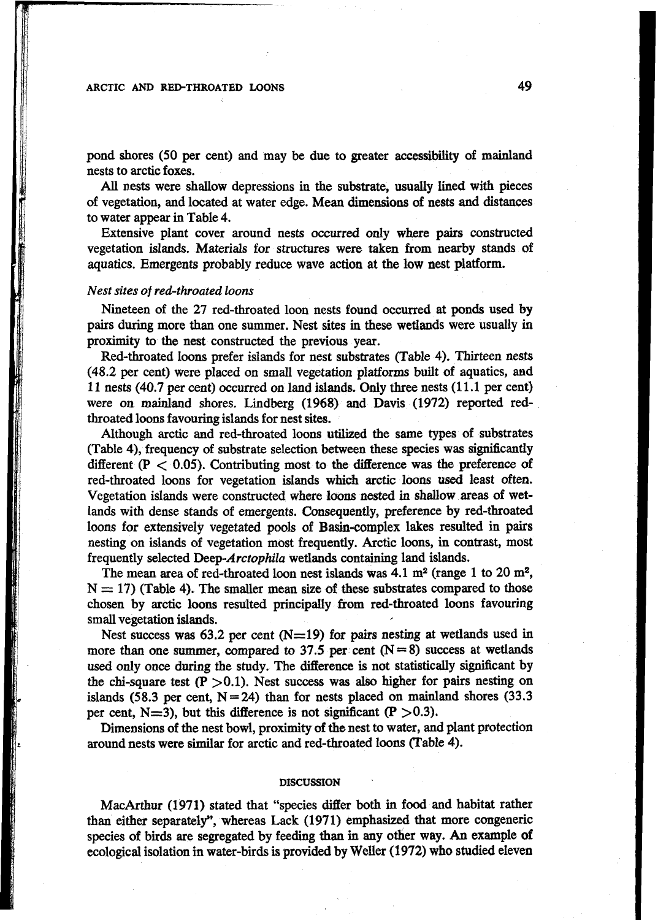pond shores *(50* per cent) and may be due to greater accessibility of mainland nests to arctic foxes.

All nests were shallow depressions in the substrate, usually lined with pieces of vegetation, and located at water edge. Mean dimensions of **nests** and distances to water appear in Table 4.

Extensive plant cover around nests occurred only where pairs constructed vegetation islands. Materials for structures were taken **from** nearby stands of aquatics. Emergents probably reduce wave action at the low nest platform.

# Nest sites *of* red-throated loons

Nineteen of the 27 red-throated loon nests found occurred at **ponds** used by pairs during more than one summer. Nest sites in these wetlands were **usually** in proximity to the nest constructed the previous year.

Red-throated loons prefer islands for nest substrates (Table **4).** Thirteen nests **(48.2** per cent) were placed **on** small vegetation platforms built of aquatics, and 1 1 nests (40.7 per cent) occurred **on** land islands. Only three nests (1 1.1 per cent) were **on** mainland shores. Lindberg (1968) and Davis (1972) reported redthroated loons favouring islands for nest sites.

Although arctic and red-throated loons utilized the same types of substrates (Table 4), frequency of substrate selection between these species was significantly different  $(P < 0.05)$ . Contributing most to the difference was the preference of red-throated **loons** for vegetation islands which arctic loons **used** least often. Vegetation islands were constructed where loons nested in shallow areas of wetlands **with** dense stands **of** emergents. Consequently, preference by red-throated loons for extensively vegetated **pools of** Basin-complex lakes resulted in pairs nesting **on** islands of vegetation most frequently. Arctic loons, in contrast, most frequently selected Deep-Arctophila wetlands containing land islands.

The mean area of red-throated loon nest islands was  $4.1 \text{ m}^2$  (range 1 to  $20 \text{ m}^2$ ,  $N = 17$ ) (Table 4). The smaller mean size of these substrates compared to those chosen by arctic loons resulted principally **from** red-throated loons favouring small vegetation islands.

Nest success was  $63.2$  per cent  $(N=19)$  for pairs nesting at wetlands used in more than one summer, compared to  $37.5$  per cent  $(N=8)$  success at wetlands used only once during the study. The difference is not statistically significant by the chi-square test  $(P > 0.1)$ . Nest success was also higher for pairs nesting on islands  $(58.3 \text{ per cent, } N = 24)$  than for nests placed on mainland shores  $(33.3 \text{ m})$ per cent,  $N=3$ ), but this difference is not significant (P  $>0.3$ ).

Dimensions of the nest bowl, proximity **of** the nest to water, and plant protection around nests were similar for arctic and red-throated loons (Table 4).

#### **DISCUSSION**

MacArthur (1971) stated that "species differ both in food and habitat rather **than** either separately", whereas Lack (1971) emphasized that more congeneric species **of** birds are segregated by feeding than in any other way. *An* example of ecological isolation in water-birds is provided by Weller **(1972)** who studied eleven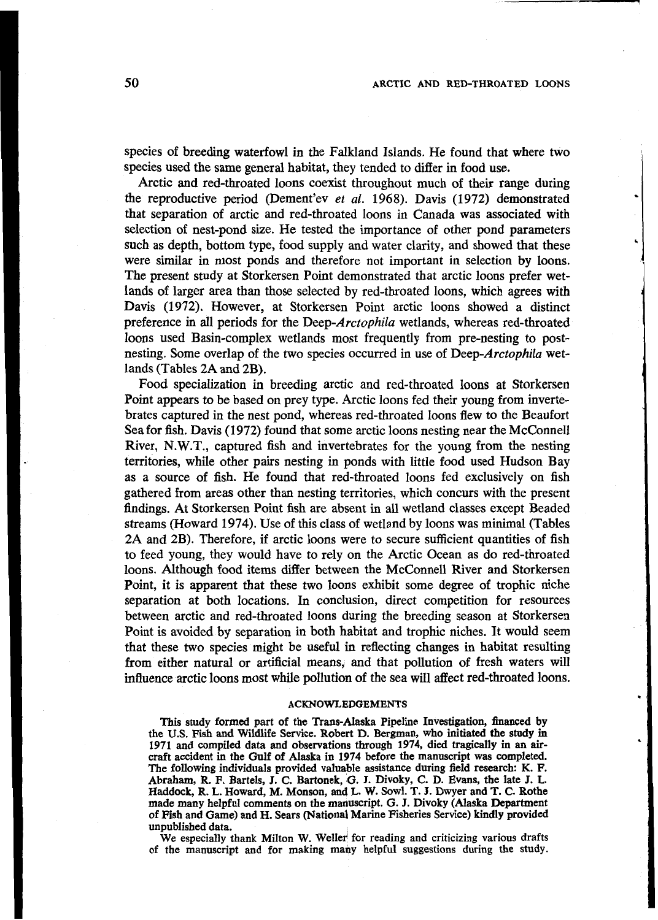species of breeding waterfowl in the Falkland Islands, He found that where two species used the same general habitat, they tended to differ in food use.

Arctic and red-throated loons coexist throughout much of their range during the reproductive period (Dement'ev et al. **1968).** Davis **(1972)** demonstrated that separation of arctic and red-throated loons in Canada was associated with selection of nest-pond size. He tested the importance of other pond parameters such as depth, bottom type, food supply and water clarity, and showed that these were similar in most ponds and therefore not important in selection by loons. The present study at Storkersen Point demonstrated that arctic loons prefer wetlands of larger area than those selected by red-throated loons, which agrees **with**  Davis **(1972).** However, at Storkersen Point arctic loons showed a distinct preference in all periods for the Deep-Arctophila wetlands, whereas red-throated loons used Basin-complex wetlands most frequently from pre-nesting to postnesting. Some overlap of the two species occurred in use of Deep-Arctophila wetlands (Tables **2A** and 2B).

Food specialization in breeding arctic and red-throated loons at Storkersen Point appears to be based on prey type. Arctic loons fed their young from invertebrates captured in the nest pond, whereas red-throated loons flew to the Beaufort Sea for fish. Davis **(1972)** found that some arctic loons nesting near the McConnell River, N.W.T., captured fish and invertebrates for the young from the nesting territories, while other pairs nesting in ponds with little food used Hudson Bay **as** a source of fish. He found that red-throated loons fed exclusively on **fish**  gathered from areas other than nesting territories, which concurs with the present findings. At Storkersen Point **fish** are absent in all wetland classes except Beaded streams (Howard **1974).** Use of this class of wetland by loons was minimal (Tables **2A** and 2B). Therefore, if arctic loons were to secure sufficient quantities of fish to feed young, they would have to rely on the Arctic Ocean as do red-throated loons. Although food items differ between the McConnell River and Storkersen Point, it is apparent that these two loons exhibit some degree of trophic niche separation at both locations. In conclusion, direct competition for resources between arctic and red-throated loons during the breeding season at Storkersen Point is avoided **by** separation in both habitat and trophic niches. It would seem that these two species might be useful **in** reflecting changes in habitat resulting from either natural or artificial means, and that pollution of fresh waters will influence arctic loons most while pollution of the sea will affect red-throated loons.

#### **ACKNOWLEDGEMENTS**

**This study formed part of the Trans-Alaska Pipeline Investigation, financed by the US. Fish and Wildlife Service. Robert D. Bergman, who initiated the study in**  1971 and compiled data and observations through 1974, died tragically in an air**craft accident in the Gulf of Alaska in 1974 before the manuscript was completed.**  The following individuals provided valuable assistance during field research: K. F. Abraham, R. F. Bartels, J. C. Bartonek, G. J. Divoky, C. D. Evans, the late J. L. **Haddock, R. L. Howard, M. Monson, and L. W. Sowl. T. 3. Dwyer and T. C. Rothe made many helpful comments** on **the manuscript. G. J. Divoky (Alaska Department of Fish and Game) and H. Sears (National Marine Fisheries Service) kindly provided unpublished data.** 

**We especially thank Milton W. Weller' for reading and criticizing various drafts of the manuscript and for making many helpful suggestions during the study.**